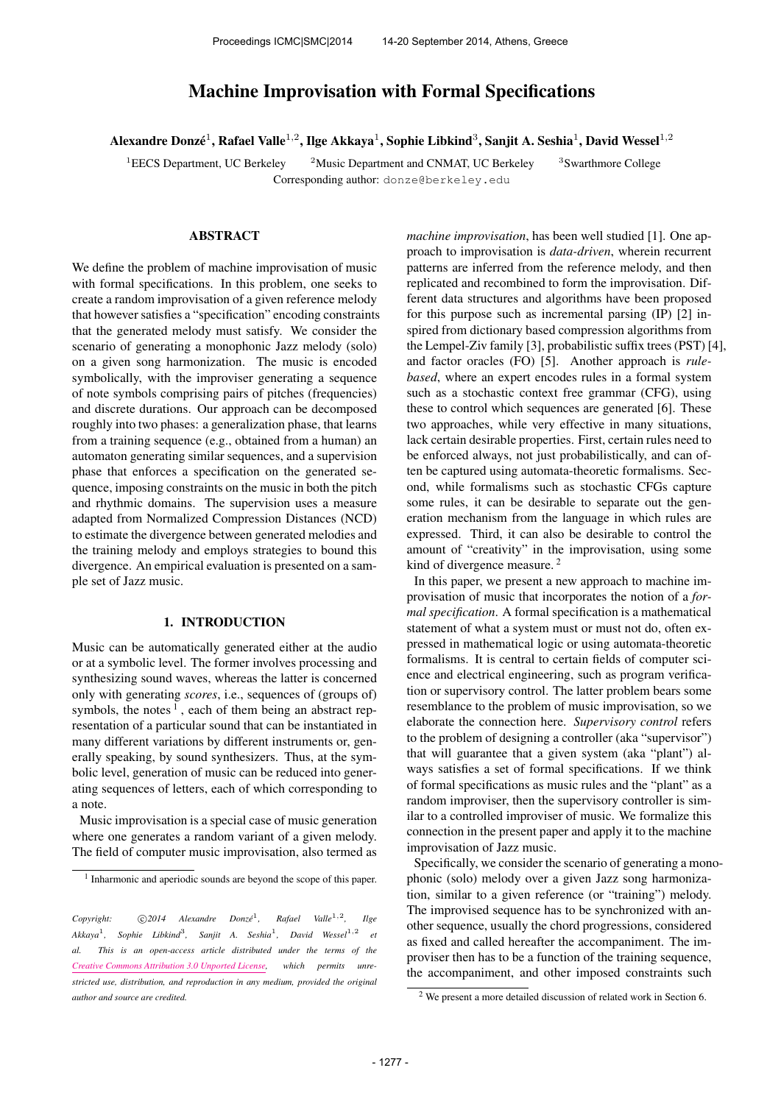# Machine Improvisation with Formal Specifications

Alexandre Donzé $^1$ , Rafael Valle $^{1,2}$ , Ilge Akkaya $^1$ , Sophie Libkind $^3$ , Sanjit A. Seshia $^1$ , David Wessel $^{1,2}$ 

<sup>1</sup>EECS Department, UC Berkeley  $2^2$ Music Department and CNMAT, UC Berkeley Corresponding author: [donze@berkeley.edu](mailto:donze@berkeley.edu)

<sup>3</sup>Swarthmore College

# **ABSTRACT**

We define the problem of machine improvisation of music with formal specifications. In this problem, one seeks to create a random improvisation of a given reference melody that however satisfies a "specification" encoding constraints that the generated melody must satisfy. We consider the scenario of generating a monophonic Jazz melody (solo) on a given song harmonization. The music is encoded symbolically, with the improviser generating a sequence of note symbols comprising pairs of pitches (frequencies) and discrete durations. Our approach can be decomposed roughly into two phases: a generalization phase, that learns from a training sequence (e.g., obtained from a human) an automaton generating similar sequences, and a supervision phase that enforces a specification on the generated sequence, imposing constraints on the music in both the pitch and rhythmic domains. The supervision uses a measure adapted from Normalized Compression Distances (NCD) to estimate the divergence between generated melodies and the training melody and employs strategies to bound this divergence. An empirical evaluation is presented on a sample set of Jazz music.

## 1. INTRODUCTION

Music can be automatically generated either at the audio or at a symbolic level. The former involves processing and synthesizing sound waves, whereas the latter is concerned only with generating *scores*, i.e., sequences of (groups of) symbols, the notes  $<sup>1</sup>$ , each of them being an abstract rep-</sup> resentation of a particular sound that can be instantiated in many different variations by different instruments or, generally speaking, by sound synthesizers. Thus, at the symbolic level, generation of music can be reduced into generating sequences of letters, each of which corresponding to a note.

Music improvisation is a special case of music generation where one generates a random variant of a given melody. The field of computer music improvisation, also termed as *machine improvisation*, has been well studied [1]. One approach to improvisation is *data-driven*, wherein recurrent patterns are inferred from the reference melody, and then replicated and recombined to form the improvisation. Different data structures and algorithms have been proposed for this purpose such as incremental parsing (IP) [2] inspired from dictionary based compression algorithms from the Lempel-Ziv family [3], probabilistic suffix trees (PST) [4], and factor oracles (FO) [5]. Another approach is *rulebased*, where an expert encodes rules in a formal system such as a stochastic context free grammar (CFG), using these to control which sequences are generated [6]. These two approaches, while very effective in many situations, lack certain desirable properties. First, certain rules need to be enforced always, not just probabilistically, and can often be captured using automata-theoretic formalisms. Second, while formalisms such as stochastic CFGs capture some rules, it can be desirable to separate out the generation mechanism from the language in which rules are expressed. Third, it can also be desirable to control the amount of "creativity" in the improvisation, using some kind of divergence measure.<sup>2</sup>

In this paper, we present a new approach to machine improvisation of music that incorporates the notion of a *formal specification*. A formal specification is a mathematical statement of what a system must or must not do, often expressed in mathematical logic or using automata-theoretic formalisms. It is central to certain fields of computer science and electrical engineering, such as program verification or supervisory control. The latter problem bears some resemblance to the problem of music improvisation, so we elaborate the connection here. *Supervisory control* refers to the problem of designing a controller (aka "supervisor") that will guarantee that a given system (aka "plant") always satisfies a set of formal specifications. If we think of formal specifications as music rules and the "plant" as a random improviser, then the supervisory controller is similar to a controlled improviser of music. We formalize this connection in the present paper and apply it to the machine improvisation of Jazz music.

Specifically, we consider the scenario of generating a monophonic (solo) melody over a given Jazz song harmonization, similar to a given reference (or "training") melody. The improvised sequence has to be synchronized with another sequence, usually the chord progressions, considered as fixed and called hereafter the accompaniment. The improviser then has to be a function of the training sequence, the accompaniment, and other imposed constraints such

<sup>&</sup>lt;sup>1</sup> Inharmonic and aperiodic sounds are beyond the scope of this paper.

 $Copyright:$  **C**  $2014$  Alexandre  $Donz\acute{e}^1$ , *Rafael Valle*<sup>1,2</sup>, *, Ilge Akkaya*<sup>1</sup> *, Sophie Libkind*<sup>3</sup> *, Sanjit A. Seshia*<sup>1</sup> *, David Wessel*1,<sup>2</sup> *et al. This is an open-access article distributed under the terms of the [Creative Commons Attribution 3.0 Unported License,](http://creativecommons.org/licenses/by/3.0/) which permits unrestricted use, distribution, and reproduction in any medium, provided the original author and source are credited.*

<sup>2</sup> We present a more detailed discussion of related work in Section 6.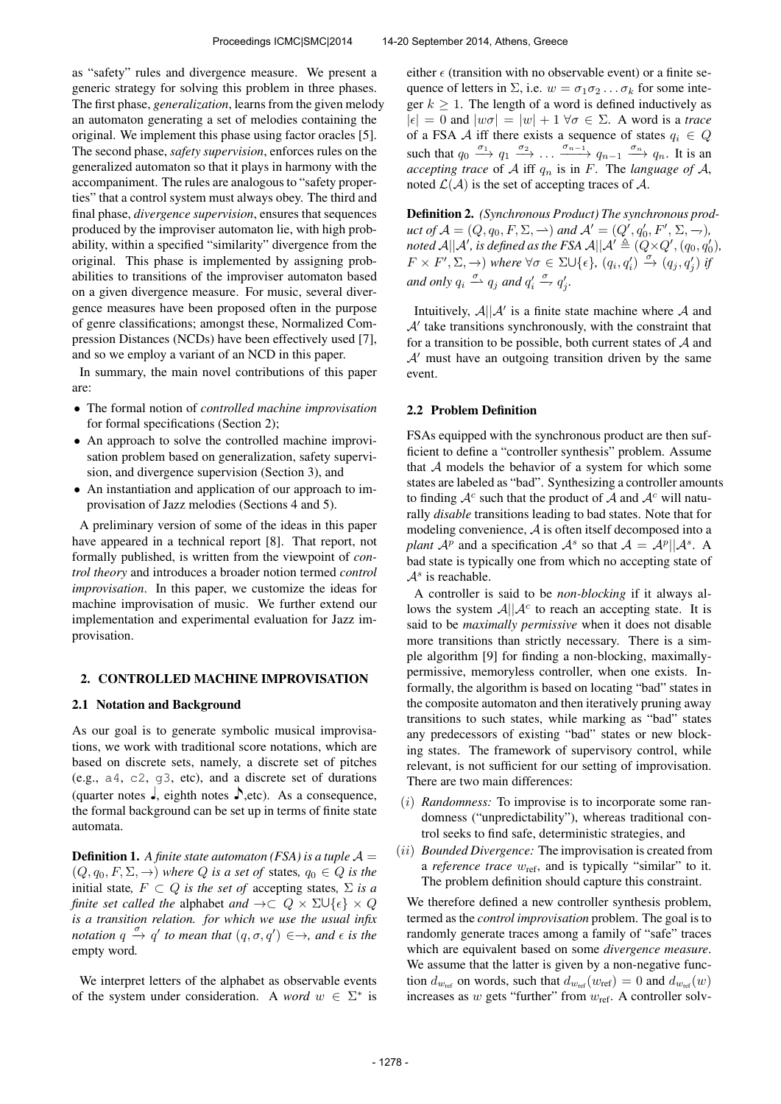as "safety" rules and divergence measure. We present a generic strategy for solving this problem in three phases. The first phase, *generalization*, learns from the given melody an automaton generating a set of melodies containing the original. We implement this phase using factor oracles [5]. The second phase, *safety supervision*, enforces rules on the generalized automaton so that it plays in harmony with the accompaniment. The rules are analogous to "safety properties" that a control system must always obey. The third and final phase, *divergence supervision*, ensures that sequences produced by the improviser automaton lie, with high probability, within a specified "similarity" divergence from the original. This phase is implemented by assigning probabilities to transitions of the improviser automaton based on a given divergence measure. For music, several divergence measures have been proposed often in the purpose of genre classifications; amongst these, Normalized Compression Distances (NCDs) have been effectively used [7], and so we employ a variant of an NCD in this paper.

In summary, the main novel contributions of this paper are:

- The formal notion of *controlled machine improvisation* for formal specifications (Section 2);
- An approach to solve the controlled machine improvisation problem based on generalization, safety supervision, and divergence supervision (Section 3), and
- An instantiation and application of our approach to improvisation of Jazz melodies (Sections 4 and 5).

A preliminary version of some of the ideas in this paper have appeared in a technical report [8]. That report, not formally published, is written from the viewpoint of *control theory* and introduces a broader notion termed *control improvisation*. In this paper, we customize the ideas for machine improvisation of music. We further extend our implementation and experimental evaluation for Jazz improvisation.

# 2. CONTROLLED MACHINE IMPROVISATION

#### 2.1 Notation and Background

As our goal is to generate symbolic musical improvisations, we work with traditional score notations, which are based on discrete sets, namely, a discrete set of pitches (e.g., a4, c2, g3, etc), and a discrete set of durations (quarter notes  $\Box$ , eighth notes  $\Box$ , etc). As a consequence, the formal background can be set up in terms of finite state automata.

**Definition 1.** A finite state automaton (FSA) is a tuple  $A =$  $(Q, q_0, F, \Sigma, \rightarrow)$  *where*  $Q$  *is a set of states,*  $q_0 \in Q$  *<i>is the* initial state,  $F \subset Q$  *is the set of* accepting states,  $\Sigma$  *is a finite set called the* alphabet *and*  $\rightarrow \subset Q \times \Sigma \cup \{\epsilon\} \times Q$ *is a transition relation. for which we use the usual infix notation*  $q \stackrel{\sigma}{\rightarrow} q'$  *to mean that*  $(q, \sigma, q') \in \rightarrow$ *, and*  $\epsilon$  *is the* empty word*.*

We interpret letters of the alphabet as observable events of the system under consideration. A *word*  $w \in \Sigma^*$  is

either  $\epsilon$  (transition with no observable event) or a finite sequence of letters in  $\Sigma$ , i.e.  $w = \sigma_1 \sigma_2 \dots \sigma_k$  for some integer  $k \geq 1$ . The length of a word is defined inductively as  $|\epsilon| = 0$  and  $|w\sigma| = |w| + 1 \,\forall \sigma \in \Sigma$ . A word is a *trace* of a FSA A iff there exists a sequence of states  $q_i \in Q$ such that  $q_0 \xrightarrow{\sigma_1} q_1 \xrightarrow{\sigma_2} \dots \xrightarrow{\sigma_{n-1}} q_{n-1} \xrightarrow{\sigma_n} q_n$ . It is an *accepting trace* of A iff  $q_n$  is in F. The *language* of A, noted  $\mathcal{L}(\mathcal{A})$  is the set of accepting traces of  $\mathcal{A}$ .

Definition 2. *(Synchronous Product) The synchronous product of*  $\mathcal{A} = (Q, q_0, F, \Sigma, \rightarrow)$  *and*  $\mathcal{A}' = (Q', q'_0, F', \Sigma, \rightarrow)$ *,* noted A||A', is defined as the FSA A||A'  $\triangleq$   $(\stackrel{\sim}{Q}\times Q', (q_0, q'_0),$  $F \times F', \Sigma, \rightarrow)$  where  $\forall \sigma \in \Sigma \cup \{\epsilon\}, (q_i, q'_i) \stackrel{\sigma}{\rightarrow} (q_j, q'_j)$  if and only  $q_i \stackrel{\sigma}{\longrightarrow} q_j$  and  $q'_i \stackrel{\sigma}{\longrightarrow} q'_j$ .

Intuitively,  $A||A'$  is a finite state machine where A and  $A'$  take transitions synchronously, with the constraint that for a transition to be possible, both current states of  $A$  and  $A'$  must have an outgoing transition driven by the same event.

# 2.2 Problem Definition

FSAs equipped with the synchronous product are then sufficient to define a "controller synthesis" problem. Assume that  $A$  models the behavior of a system for which some states are labeled as "bad". Synthesizing a controller amounts to finding  $A^c$  such that the product of A and  $A^c$  will naturally *disable* transitions leading to bad states. Note that for modeling convenience, A is often itself decomposed into a *plant*  $\mathcal{A}^p$  and a specification  $\mathcal{A}^s$  so that  $\mathcal{A} = \mathcal{A}^p || \mathcal{A}^s$ . A bad state is typically one from which no accepting state of  $A<sup>s</sup>$  is reachable.

A controller is said to be *non-blocking* if it always allows the system  $A||A^c$  to reach an accepting state. It is said to be *maximally permissive* when it does not disable more transitions than strictly necessary. There is a simple algorithm [9] for finding a non-blocking, maximallypermissive, memoryless controller, when one exists. Informally, the algorithm is based on locating "bad" states in the composite automaton and then iteratively pruning away transitions to such states, while marking as "bad" states any predecessors of existing "bad" states or new blocking states. The framework of supervisory control, while relevant, is not sufficient for our setting of improvisation. There are two main differences:

- (i) *Randomness:* To improvise is to incorporate some randomness ("unpredictability"), whereas traditional control seeks to find safe, deterministic strategies, and
- (ii) *Bounded Divergence:* The improvisation is created from a *reference trace*  $w_{\text{ref}}$ , and is typically "similar" to it. The problem definition should capture this constraint.

We therefore defined a new controller synthesis problem, termed as the *control improvisation* problem. The goal is to randomly generate traces among a family of "safe" traces which are equivalent based on some *divergence measure*. We assume that the latter is given by a non-negative function  $d_{w_{ref}}$  on words, such that  $d_{w_{ref}}(w_{ref}) = 0$  and  $d_{w_{ref}}(w)$ increases as  $w$  gets "further" from  $w_{ref}$ . A controller solv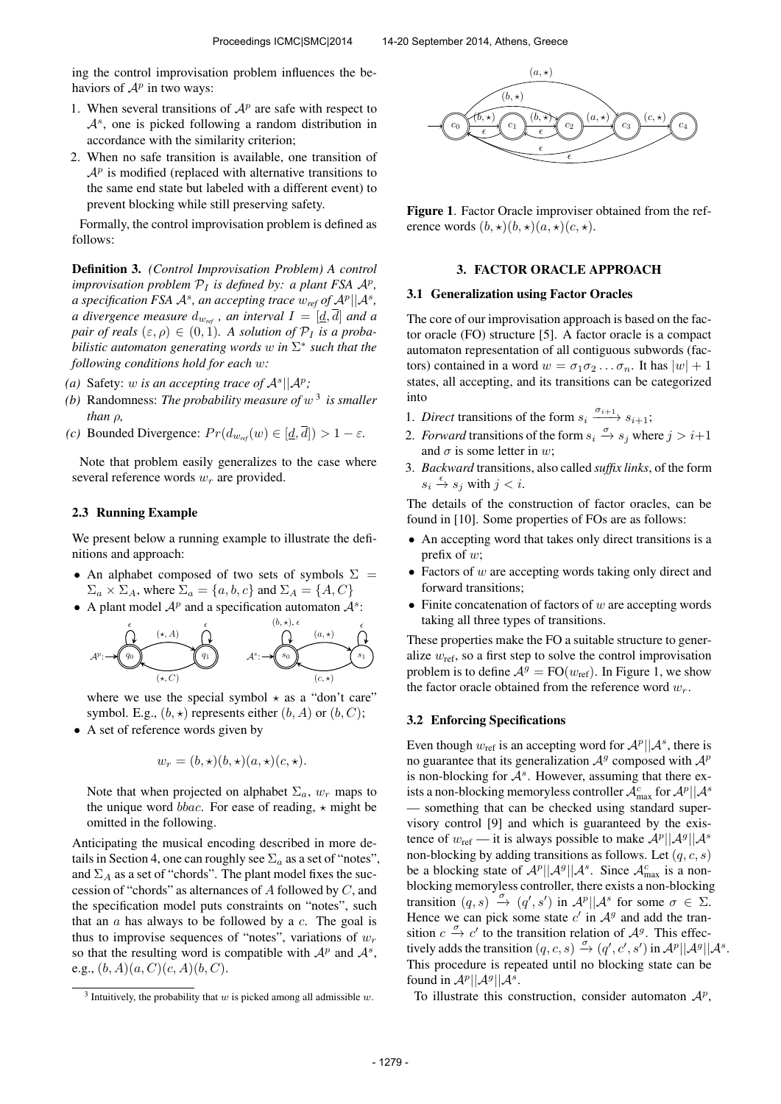ing the control improvisation problem influences the behaviors of  $\mathcal{A}^p$  in two ways:

- 1. When several transitions of  $A<sup>p</sup>$  are safe with respect to  $A^s$ , one is picked following a random distribution in accordance with the similarity criterion;
- 2. When no safe transition is available, one transition of  $A<sup>p</sup>$  is modified (replaced with alternative transitions to the same end state but labeled with a different event) to prevent blocking while still preserving safety.

Formally, the control improvisation problem is defined as follows:

Definition 3. *(Control Improvisation Problem) A control improvisation problem*  $P_I$  *is defined by: a plant FSA*  $A^p$ *, a specification FSA*  $\mathcal{A}^s$ *, an accepting trace*  $w_{\text{ref}}$  *of*  $\mathcal{A}^p||\mathcal{A}^s$ *, a divergence measure*  $d_{w_{ref}}$ , an interval  $I = [\underline{d}, \overline{d}]$  and a *pair of reals*  $(\varepsilon, \rho) \in (0, 1)$ *. A solution of*  $\mathcal{P}_I$  *is a probabilistic automaton generating words* w *in* Σ ∗ *such that the following conditions hold for each* w*:*

- (a) Safety: w is an accepting trace of  $\mathcal{A}^s||\mathcal{A}^p$ ;
- *(b)* Randomness: *The probability measure of* w 3 *is smaller than* ρ*,*
- *(c)* Bounded Divergence:  $Pr(d_{w_{ref}}(w) \in [\underline{d}, \overline{d}]) > 1 \varepsilon$ .

Note that problem easily generalizes to the case where several reference words  $w_r$  are provided.

# 2.3 Running Example

We present below a running example to illustrate the definitions and approach:

- An alphabet composed of two sets of symbols  $\Sigma =$  $\Sigma_a \times \Sigma_A$ , where  $\Sigma_a = \{a, b, c\}$  and  $\Sigma_A = \{A, C\}$
- A plant model  $A^p$  and a specification automaton  $A^s$ :



where we use the special symbol  $\star$  as a "don't care" symbol. E.g.,  $(b, \star)$  represents either  $(b, A)$  or  $(b, C)$ ;

• A set of reference words given by

$$
w_r = (b, \star)(b, \star)(a, \star)(c, \star).
$$

Note that when projected on alphabet  $\Sigma_a$ ,  $w_r$  maps to the unique word *bbac*. For ease of reading,  $\star$  might be omitted in the following.

Anticipating the musical encoding described in more details in Section 4, one can roughly see  $\Sigma_a$  as a set of "notes", and  $\Sigma_A$  as a set of "chords". The plant model fixes the succession of "chords" as alternances of  $A$  followed by  $C$ , and the specification model puts constraints on "notes", such that an  $\alpha$  has always to be followed by a  $c$ . The goal is thus to improvise sequences of "notes", variations of  $w_r$ so that the resulting word is compatible with  $\mathcal{A}^p$  and  $\mathcal{A}^s$ , e.g.,  $(b, A)(a, C)(c, A)(b, C)$ .



Figure 1. Factor Oracle improviser obtained from the reference words  $(b, \star)(b, \star)(a, \star)(c, \star)$ .

# 3. FACTOR ORACLE APPROACH

# 3.1 Generalization using Factor Oracles

The core of our improvisation approach is based on the factor oracle (FO) structure [5]. A factor oracle is a compact automaton representation of all contiguous subwords (factors) contained in a word  $w = \sigma_1 \sigma_2 \ldots \sigma_n$ . It has  $|w| + 1$ states, all accepting, and its transitions can be categorized into

- 1. *Direct* transitions of the form  $s_i \xrightarrow{\sigma_{i+1}} s_{i+1}$ ;
- 2. *Forward* transitions of the form  $s_i \xrightarrow{\sigma} s_j$  where  $j > i+1$ and  $\sigma$  is some letter in w;
- 3. *Backward* transitions, also called *suffix links*, of the form  $s_i \stackrel{\epsilon}{\rightarrow} s_j$  with  $j < i$ .

The details of the construction of factor oracles, can be found in [10]. Some properties of FOs are as follows:

- An accepting word that takes only direct transitions is a prefix of  $w$ ;
- Factors of  $w$  are accepting words taking only direct and forward transitions;
- Finite concatenation of factors of  $w$  are accepting words taking all three types of transitions.

These properties make the FO a suitable structure to generalize  $w_{\text{ref}}$ , so a first step to solve the control improvisation problem is to define  $A^g = FO(w_{ref})$ . In Figure 1, we show the factor oracle obtained from the reference word  $w_r$ .

### 3.2 Enforcing Specifications

Even though  $w_{ref}$  is an accepting word for  $\mathcal{A}^p||\mathcal{A}^s$ , there is no guarantee that its generalization  $A<sup>g</sup>$  composed with  $A<sup>p</sup>$ is non-blocking for  $A^s$ . However, assuming that there exists a non-blocking memoryless controller  $\mathcal{A}^c_\text{max}$  for  $\mathcal{A}^p||\mathcal{A}^s$ — something that can be checked using standard supervisory control [9] and which is guaranteed by the existence of  $w_{\text{ref}}$  — it is always possible to make  $\mathcal{A}^p || \mathcal{A}^g || \mathcal{A}^s$ non-blocking by adding transitions as follows. Let  $(q, c, s)$ be a blocking state of  $\mathcal{A}^p$ || $\mathcal{A}^g$ || $\mathcal{A}^s$ . Since  $\mathcal{A}_{\text{max}}^c$  is a nonblocking memoryless controller, there exists a non-blocking transition  $(q, s) \stackrel{\sigma}{\rightarrow} (q', s')$  in  $\mathcal{A}^p||\mathcal{A}^s$  for some  $\sigma \in \Sigma$ . Hence we can pick some state  $c'$  in  $A<sup>g</sup>$  and add the transition  $c \xrightarrow{\sigma} c'$  to the transition relation of  $\mathcal{A}^g$ . This effectively adds the transition  $(q, c, s) \xrightarrow{\sigma} (q', c', s')$  in  $\mathcal{A}^p||\mathcal{A}^q||\mathcal{A}^s$ . This procedure is repeated until no blocking state can be found in  $\mathcal{A}^p$ || $\mathcal{A}^g$ || $\mathcal{A}^s$ .

To illustrate this construction, consider automaton  $A^p$ ,

<sup>&</sup>lt;sup>3</sup> Intuitively, the probability that  $w$  is picked among all admissible  $w$ .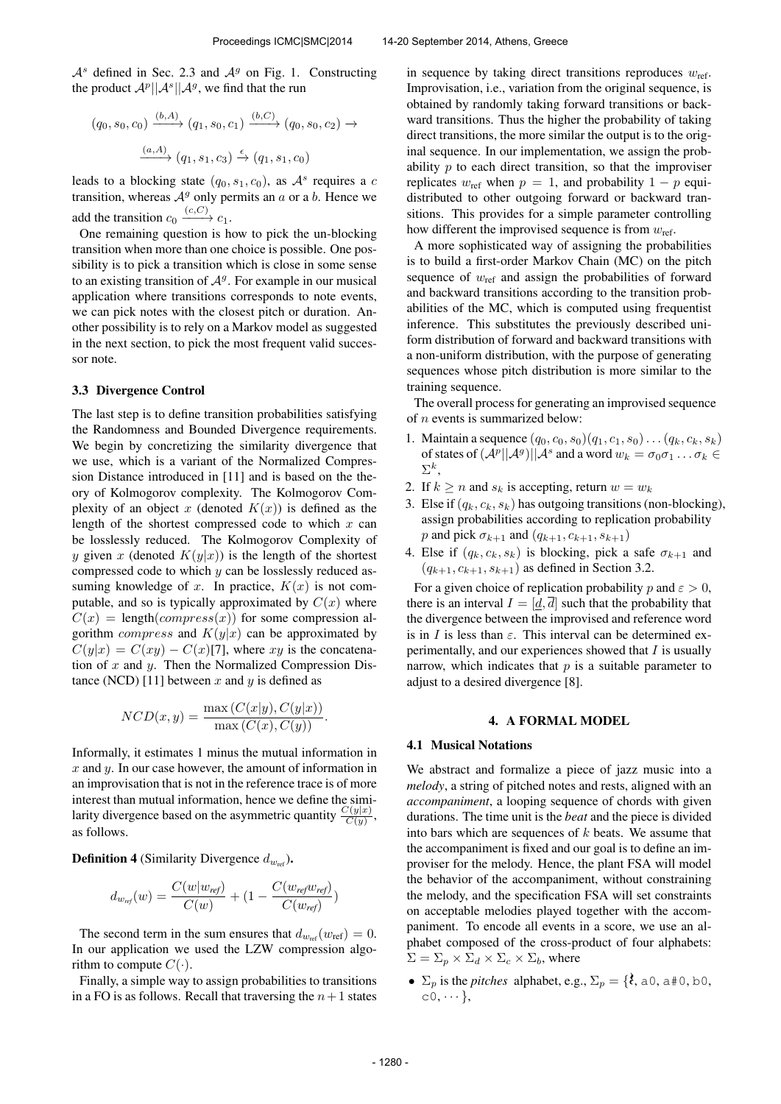$A<sup>s</sup>$  defined in Sec. 2.3 and  $A<sup>g</sup>$  on Fig. 1. Constructing the product  $\mathcal{A}^p||\mathcal{A}^s||\mathcal{A}^g$ , we find that the run

$$
(q_0, s_0, c_0) \xrightarrow{(b,A)} (q_1, s_0, c_1) \xrightarrow{(b,C)} (q_0, s_0, c_2) \rightarrow
$$

$$
\xrightarrow{(a,A)} (q_1, s_1, c_3) \xrightarrow{\epsilon} (q_1, s_1, c_0)
$$

leads to a blocking state  $(q_0, s_1, c_0)$ , as  $\mathcal{A}^s$  requires a c transition, whereas  $A<sup>g</sup>$  only permits an a or a b. Hence we add the transition  $c_0 \xrightarrow{(c,C)} c_1$ .

One remaining question is how to pick the un-blocking transition when more than one choice is possible. One possibility is to pick a transition which is close in some sense to an existing transition of  $A<sup>g</sup>$ . For example in our musical application where transitions corresponds to note events, we can pick notes with the closest pitch or duration. Another possibility is to rely on a Markov model as suggested in the next section, to pick the most frequent valid successor note.

# 3.3 Divergence Control

The last step is to define transition probabilities satisfying the Randomness and Bounded Divergence requirements. We begin by concretizing the similarity divergence that we use, which is a variant of the Normalized Compression Distance introduced in [11] and is based on the theory of Kolmogorov complexity. The Kolmogorov Complexity of an object x (denoted  $K(x)$ ) is defined as the length of the shortest compressed code to which  $x$  can be losslessly reduced. The Kolmogorov Complexity of y given x (denoted  $K(y|x)$ ) is the length of the shortest compressed code to which y can be losslessly reduced assuming knowledge of x. In practice,  $K(x)$  is not computable, and so is typically approximated by  $C(x)$  where  $C(x) = \text{length}(compress(x))$  for some compression algorithm *compress* and  $K(y|x)$  can be approximated by  $C(y|x) = C(xy) - C(x)[7]$ , where xy is the concatenation of  $x$  and  $y$ . Then the Normalized Compression Distance (NCD) [11] between x and y is defined as

$$
NCD(x, y) = \frac{\max(C(x|y), C(y|x))}{\max(C(x), C(y))}.
$$

Informally, it estimates 1 minus the mutual information in  $x$  and  $y$ . In our case however, the amount of information in an improvisation that is not in the reference trace is of more interest than mutual information, hence we define the similarity divergence based on the asymmetric quantity  $\frac{C(y|x)}{C(y)}$ , as follows.

**Definition 4** (Similarity Divergence  $d_{w_{\text{ref}}})$ .

$$
d_{w_{ref}}(w) = \frac{C(w|w_{ref})}{C(w)} + (1 - \frac{C(w_{ref}w_{ref})}{C(w_{ref})})
$$

The second term in the sum ensures that  $d_{w_{ref}}(w_{ref}) = 0$ . In our application we used the LZW compression algorithm to compute  $C(\cdot)$ .

Finally, a simple way to assign probabilities to transitions in a FO is as follows. Recall that traversing the  $n+1$  states

in sequence by taking direct transitions reproduces  $w_{\text{ref}}$ . Improvisation, i.e., variation from the original sequence, is obtained by randomly taking forward transitions or backward transitions. Thus the higher the probability of taking direct transitions, the more similar the output is to the original sequence. In our implementation, we assign the probability  $p$  to each direct transition, so that the improviser replicates  $w_{ref}$  when  $p = 1$ , and probability  $1 - p$  equidistributed to other outgoing forward or backward transitions. This provides for a simple parameter controlling how different the improvised sequence is from  $w_{\text{ref}}$ .

A more sophisticated way of assigning the probabilities is to build a first-order Markov Chain (MC) on the pitch sequence of  $w_{\text{ref}}$  and assign the probabilities of forward and backward transitions according to the transition probabilities of the MC, which is computed using frequentist inference. This substitutes the previously described uniform distribution of forward and backward transitions with a non-uniform distribution, with the purpose of generating sequences whose pitch distribution is more similar to the training sequence.

The overall process for generating an improvised sequence of n events is summarized below:

- 1. Maintain a sequence  $(q_0, c_0, s_0)(q_1, c_1, s_0) \dots (q_k, c_k, s_k)$ of states of  $(A^p||A^g)||A^s$  and a word  $w_k = \sigma_0 \sigma_1 \dots \sigma_k \in$  $\Sigma^k,$
- 2. If  $k \ge n$  and  $s_k$  is accepting, return  $w = w_k$
- 3. Else if  $(q_k, c_k, s_k)$  has outgoing transitions (non-blocking), assign probabilities according to replication probability *p* and pick  $\sigma_{k+1}$  and  $(q_{k+1}, c_{k+1}, s_{k+1})$
- 4. Else if  $(q_k, c_k, s_k)$  is blocking, pick a safe  $\sigma_{k+1}$  and  $(q_{k+1}, c_{k+1}, s_{k+1})$  as defined in Section 3.2.

For a given choice of replication probability p and  $\varepsilon > 0$ , there is an interval  $I = [d, \overline{d}]$  such that the probability that the divergence between the improvised and reference word is in I is less than  $\varepsilon$ . This interval can be determined experimentally, and our experiences showed that  $I$  is usually narrow, which indicates that  $p$  is a suitable parameter to adjust to a desired divergence [8].

#### 4. A FORMAL MODEL

### 4.1 Musical Notations

We abstract and formalize a piece of jazz music into a *melody*, a string of pitched notes and rests, aligned with an *accompaniment*, a looping sequence of chords with given durations. The time unit is the *beat* and the piece is divided into bars which are sequences of  $k$  beats. We assume that the accompaniment is fixed and our goal is to define an improviser for the melody. Hence, the plant FSA will model the behavior of the accompaniment, without constraining the melody, and the specification FSA will set constraints on acceptable melodies played together with the accompaniment. To encode all events in a score, we use an alphabet composed of the cross-product of four alphabets:  $\Sigma = \Sigma_p \times \Sigma_d \times \Sigma_c \times \Sigma_b$ , where

•  $\Sigma_p$  is the *pitches* alphabet, e.g.,  $\Sigma_p = \{\lambda, a0, a\#0, b0,$  $c0, \cdots$ ,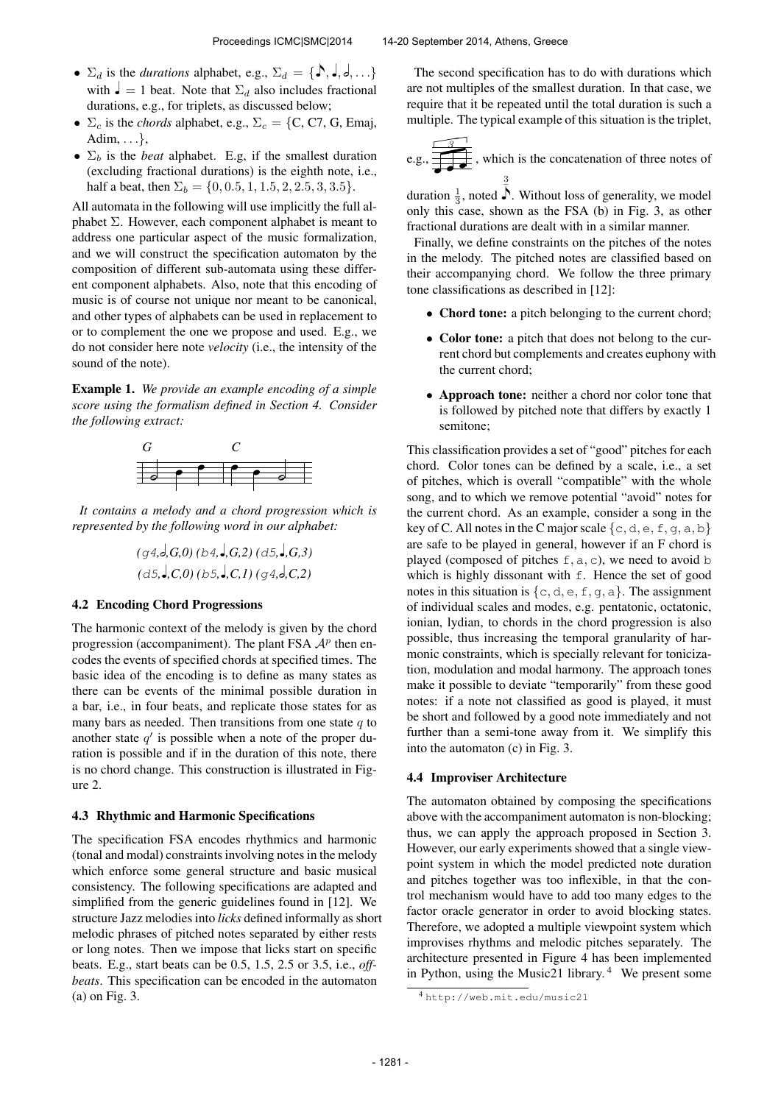- $\Sigma_d$  is the *durations* alphabet, e.g.,  $\Sigma_d = \{\mathcal{S}, \mathcal{A}, \mathcal{A}, \ldots\}$ with  $\Box = 1$  beat. Note that  $\Sigma_d$  also includes fractional durations, e.g., for triplets, as discussed below;
- $\Sigma_c$  is the *chords* alphabet, e.g.,  $\Sigma_c = \{C, C7, G, Ema\}$ , Adim,  $\dots$ ,
- $\Sigma_b$  is the *beat* alphabet. E.g, if the smallest duration (excluding fractional durations) is the eighth note, i.e., half a beat, then  $\Sigma_b = \{0, 0.5, 1, 1.5, 2, 2.5, 3, 3.5\}.$

All automata in the following will use implicitly the full alphabet  $\Sigma$ . However, each component alphabet is meant to address one particular aspect of the music formalization, and we will construct the specification automaton by the composition of different sub-automata using these different component alphabets. Also, note that this encoding of music is of course not unique nor meant to be canonical, and other types of alphabets can be used in replacement to or to complement the one we propose and used. E.g., we do not consider here note *velocity* (i.e., the intensity of the sound of the note).

Example 1. *We provide an example encoding of a simple score using the formalism defined in Section 4. Consider the following extract:*



*It contains a melody and a chord progression which is represented by the following word in our alphabet:*

$$
(g4, d, G, 0) (b4, d, G, 2) (d5, d, G, 3)
$$
  
 $(d5, d, C, 0) (b5, d, C, 1) (g4, d, C, 2)$ 

# 4.2 Encoding Chord Progressions

The harmonic context of the melody is given by the chord progression (accompaniment). The plant FSA  $\mathcal{A}^p$  then encodes the events of specified chords at specified times. The basic idea of the encoding is to define as many states as there can be events of the minimal possible duration in a bar, i.e., in four beats, and replicate those states for as many bars as needed. Then transitions from one state  $q$  to another state  $q'$  is possible when a note of the proper duration is possible and if in the duration of this note, there is no chord change. This construction is illustrated in Figure 2.

#### 4.3 Rhythmic and Harmonic Specifications

The specification FSA encodes rhythmics and harmonic (tonal and modal) constraints involving notes in the melody which enforce some general structure and basic musical consistency. The following specifications are adapted and simplified from the generic guidelines found in [12]. We structure Jazz melodies into *licks* defined informally as short melodic phrases of pitched notes separated by either rests or long notes. Then we impose that licks start on specific beats. E.g., start beats can be 0.5, 1.5, 2.5 or 3.5, i.e., *offbeats*. This specification can be encoded in the automaton (a) on Fig. 3.

The second specification has to do with durations which are not multiples of the smallest duration. In that case, we require that it be repeated until the total duration is such a multiple. The typical example of this situation is the triplet,

e.g., 
$$
\frac{3}{\sqrt{3}}
$$
, which is the concatenation of three notes of  $\frac{3}{3}$ 

duration  $\frac{1}{3}$ , noted  $\sum_{n=1}^{\infty}$ . Without loss of generality, we model only this case, shown as the FSA (b) in Fig. 3, as other fractional durations are dealt with in a similar manner.

Finally, we define constraints on the pitches of the notes in the melody. The pitched notes are classified based on their accompanying chord. We follow the three primary tone classifications as described in [12]:

- Chord tone: a pitch belonging to the current chord;
- Color tone: a pitch that does not belong to the current chord but complements and creates euphony with the current chord;
- Approach tone: neither a chord nor color tone that is followed by pitched note that differs by exactly 1 semitone;

This classification provides a set of "good" pitches for each chord. Color tones can be defined by a scale, i.e., a set of pitches, which is overall "compatible" with the whole song, and to which we remove potential "avoid" notes for the current chord. As an example, consider a song in the key of C. All notes in the C major scale  $\{c, d, e, f, q, a, b\}$ are safe to be played in general, however if an F chord is played (composed of pitches  $f$ , a, c), we need to avoid b which is highly dissonant with f. Hence the set of good notes in this situation is  $\{c, d, e, f, g, a\}$ . The assignment of individual scales and modes, e.g. pentatonic, octatonic, ionian, lydian, to chords in the chord progression is also possible, thus increasing the temporal granularity of harmonic constraints, which is specially relevant for tonicization, modulation and modal harmony. The approach tones make it possible to deviate "temporarily" from these good notes: if a note not classified as good is played, it must be short and followed by a good note immediately and not further than a semi-tone away from it. We simplify this into the automaton (c) in Fig. 3.

### 4.4 Improviser Architecture

The automaton obtained by composing the specifications above with the accompaniment automaton is non-blocking; thus, we can apply the approach proposed in Section 3. However, our early experiments showed that a single viewpoint system in which the model predicted note duration and pitches together was too inflexible, in that the control mechanism would have to add too many edges to the factor oracle generator in order to avoid blocking states. Therefore, we adopted a multiple viewpoint system which improvises rhythms and melodic pitches separately. The architecture presented in Figure 4 has been implemented in Python, using the Music21 library. $4$  We present some

<sup>4</sup> <http://web.mit.edu/music21>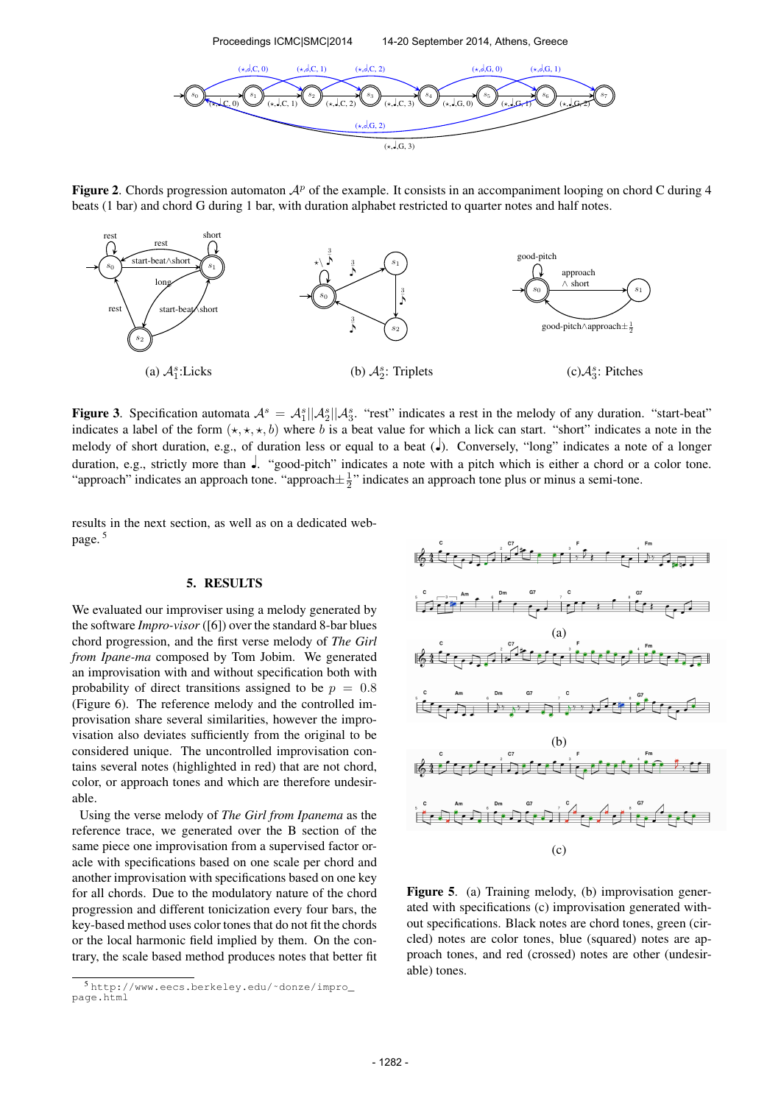

**Figure 2.** Chords progression automaton  $A^p$  of the example. It consists in an accompaniment looping on chord C during 4 beats (1 bar) and chord G during 1 bar, with duration alphabet restricted to quarter notes and half notes.



**Figure 3**. Specification automata  $A^s = A_1^s ||A_2^s||A_3^s$ . "rest" indicates a rest in the melody of any duration. "start-beat" indicates a label of the form  $(\star, \star, \star, b)$  where b is a beat value for which a lick can start. "short" indicates a note in the melody of short duration, e.g., of duration less or equal to a beat (♩). Conversely, "long" indicates a note of a longer duration, e.g., strictly more than ♩. "good-pitch" indicates a note with a pitch which is either a chord or a color tone. "approach" indicates an approach tone. "approach $\pm \frac{1}{2}$ " indicates an approach tone plus or minus a semi-tone.

results in the next section, as well as on a dedicated webpage. <sup>5</sup>

# 5. RESULTS

We evaluated our improviser using a melody generated by the software *Impro-visor* ([6]) over the standard 8-bar blues chord progression, and the first verse melody of *The Girl from Ipane-ma* composed by Tom Jobim. We generated an improvisation with and without specification both with probability of direct transitions assigned to be  $p = 0.8$ (Figure 6). The reference melody and the controlled improvisation share several similarities, however the improvisation also deviates sufficiently from the original to be considered unique. The uncontrolled improvisation contains several notes (highlighted in red) that are not chord, color, or approach tones and which are therefore undesirable.

Using the verse melody of *The Girl from Ipanema* as the reference trace, we generated over the B section of the same piece one improvisation from a supervised factor oracle with specifications based on one scale per chord and another improvisation with specifications based on one key for all chords. Due to the modulatory nature of the chord progression and different tonicization every four bars, the key-based method uses color tones that do not fit the chords or the local harmonic field implied by them. On the contrary, the scale based method produces notes that better fit



Figure 5. (a) Training melody, (b) improvisation generated with specifications (c) improvisation generated without specifications. Black notes are chord tones, green (circled) notes are color tones, blue (squared) notes are approach tones, and red (crossed) notes are other (undesirable) tones.

<sup>5</sup> [http://www.eecs.berkeley.edu/˜donze/impro\\_](http://www.eecs.berkeley.edu/~donze/impro_page.html) [page.html](http://www.eecs.berkeley.edu/~donze/impro_page.html)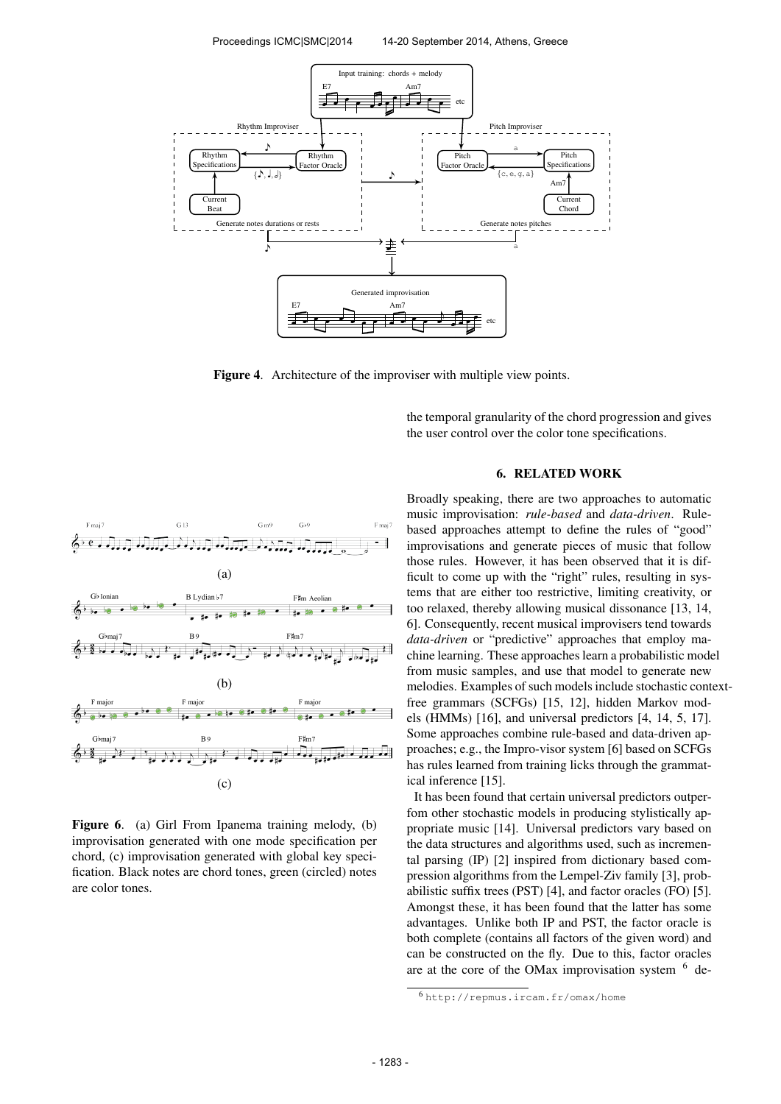

Figure 4. Architecture of the improviser with multiple view points.



Figure 6. (a) Girl From Ipanema training melody, (b) improvisation generated with one mode specification per chord, (c) improvisation generated with global key specification. Black notes are chord tones, green (circled) notes are color tones.

the temporal granularity of the chord progression and gives the user control over the color tone specifications.

### 6. RELATED WORK

Broadly speaking, there are two approaches to automatic music improvisation: *rule-based* and *data-driven*. Rulebased approaches attempt to define the rules of "good" improvisations and generate pieces of music that follow those rules. However, it has been observed that it is difficult to come up with the "right" rules, resulting in systems that are either too restrictive, limiting creativity, or too relaxed, thereby allowing musical dissonance [13, 14, 6]. Consequently, recent musical improvisers tend towards *data-driven* or "predictive" approaches that employ machine learning. These approaches learn a probabilistic model from music samples, and use that model to generate new melodies. Examples of such models include stochastic contextfree grammars (SCFGs) [15, 12], hidden Markov models (HMMs) [16], and universal predictors [4, 14, 5, 17]. Some approaches combine rule-based and data-driven approaches; e.g., the Impro-visor system [6] based on SCFGs has rules learned from training licks through the grammatical inference [15].

It has been found that certain universal predictors outperfom other stochastic models in producing stylistically appropriate music [14]. Universal predictors vary based on the data structures and algorithms used, such as incremental parsing (IP) [2] inspired from dictionary based compression algorithms from the Lempel-Ziv family [3], probabilistic suffix trees (PST) [4], and factor oracles (FO) [5]. Amongst these, it has been found that the latter has some advantages. Unlike both IP and PST, the factor oracle is both complete (contains all factors of the given word) and can be constructed on the fly. Due to this, factor oracles are at the core of the OMax improvisation system  $6$  de-

<sup>6</sup> <http://repmus.ircam.fr/omax/home>